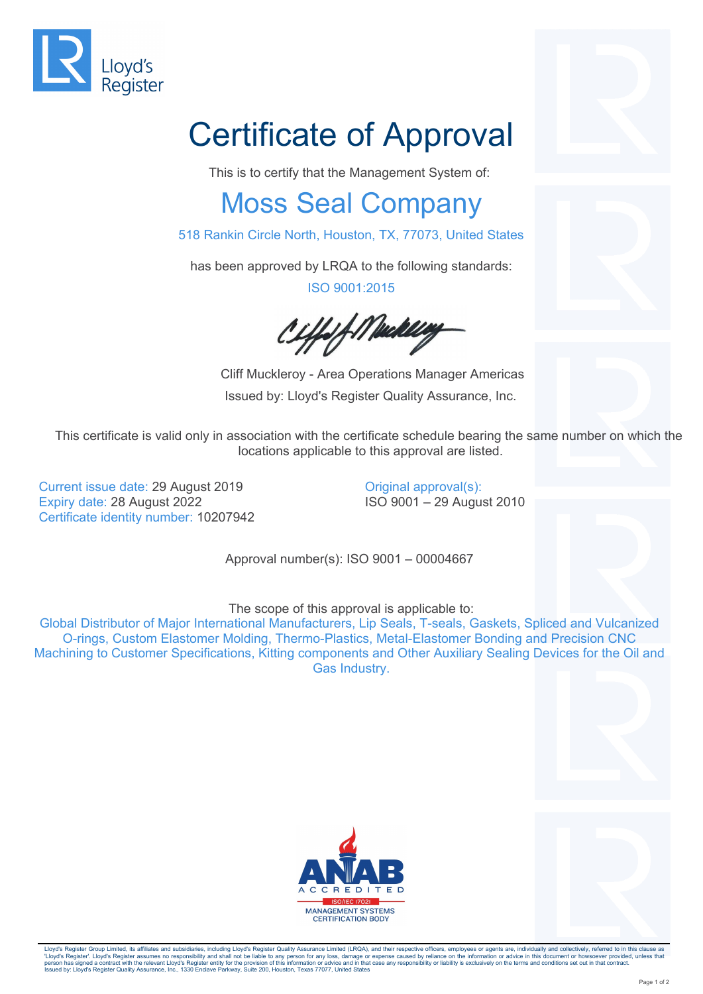

## Certificate of Approval

This is to certify that the Management System of:

## Moss Seal Company

518 Rankin Circle North, Houston, TX, 77073, United States

has been approved by LRQA to the following standards:

ISO 9001:2015

Wf Mackley

 Cliff Muckleroy - Area Operations Manager Americas Issued by: Lloyd's Register Quality Assurance, Inc.

This certificate is valid only in association with the certificate schedule bearing the same number on which the locations applicable to this approval are listed.

Current issue date: 29 August 2019 Expiry date: 28 August 2022 Certificate identity number: 10207942

Original approval(s): ISO 9001 – 29 August 2010

Approval number(s): ISO 9001 – 00004667

## The scope of this approval is applicable to:

Global Distributor of Major International Manufacturers, Lip Seals, T-seals, Gaskets, Spliced and Vulcanized O-rings, Custom Elastomer Molding, Thermo-Plastics, Metal-Elastomer Bonding and Precision CNC Machining to Customer Specifications, Kitting components and Other Auxiliary Sealing Devices for the Oil and Gas Industry.





Lloyd's Register Group Limited, its affiliates and subsidiaries, including Lloyd's Register Quality Assurance Limited (LRQA), and their respective officers, employees or agents are, individually and collectively, referred